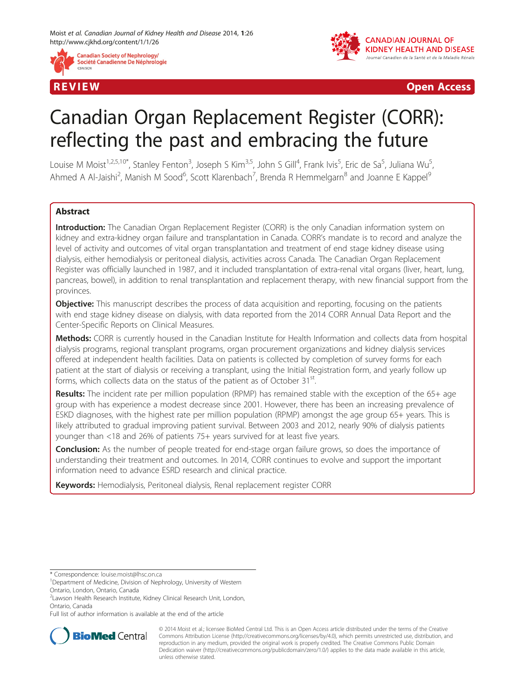



R EVI EW Open Access

# Canadian Organ Replacement Register (CORR): reflecting the past and embracing the future

Louise M Moist<sup>1,2,5,10\*</sup>, Stanley Fenton<sup>3</sup>, Joseph S Kim<sup>3,5</sup>, John S Gill<sup>4</sup>, Frank Ivis<sup>5</sup>, Eric de Sa<sup>5</sup>, Juliana Wu<sup>5</sup> , Ahmed A Al-Jaishi<sup>2</sup>, Manish M Sood<sup>6</sup>, Scott Klarenbach<sup>7</sup>, Brenda R Hemmelgarn<sup>8</sup> and Joanne E Kappel<sup>9</sup>

# Abstract

Introduction: The Canadian Organ Replacement Register (CORR) is the only Canadian information system on kidney and extra-kidney organ failure and transplantation in Canada. CORR's mandate is to record and analyze the level of activity and outcomes of vital organ transplantation and treatment of end stage kidney disease using dialysis, either hemodialysis or peritoneal dialysis, activities across Canada. The Canadian Organ Replacement Register was officially launched in 1987, and it included transplantation of extra-renal vital organs (liver, heart, lung, pancreas, bowel), in addition to renal transplantation and replacement therapy, with new financial support from the provinces.

**Objective:** This manuscript describes the process of data acquisition and reporting, focusing on the patients with end stage kidney disease on dialysis, with data reported from the 2014 CORR Annual Data Report and the Center-Specific Reports on Clinical Measures.

Methods: CORR is currently housed in the Canadian Institute for Health Information and collects data from hospital dialysis programs, regional transplant programs, organ procurement organizations and kidney dialysis services offered at independent health facilities. Data on patients is collected by completion of survey forms for each patient at the start of dialysis or receiving a transplant, using the Initial Registration form, and yearly follow up forms, which collects data on the status of the patient as of October 31<sup>st</sup>. .

Results: The incident rate per million population (RPMP) has remained stable with the exception of the 65+ age group with has experience a modest decrease since 2001. However, there has been an increasing prevalence of ESKD diagnoses, with the highest rate per million population (RPMP) amongst the age group 65+ years. This is likely attributed to gradual improving patient survival. Between 2003 and 2012, nearly 90% of dialysis patients younger than <18 and 26% of patients 75+ years survived for at least five years.

**Conclusion:** As the number of people treated for end-stage organ failure grows, so does the importance of understanding their treatment and outcomes. In 2014, CORR continues to evolve and support the important information need to advance ESRD research and clinical practice.

Keywords: Hemodialysis, Peritoneal dialysis, Renal replacement register CORR

Full list of author information is available at the end of the article



© 2014 Moist et al.; licensee BioMed Central Ltd. This is an Open Access article distributed under the terms of the Creative Commons Attribution License [\(http://creativecommons.org/licenses/by/4.0\)](http://creativecommons.org/licenses/by/4.0), which permits unrestricted use, distribution, and reproduction in any medium, provided the original work is properly credited. The Creative Commons Public Domain Dedication waiver [\(http://creativecommons.org/publicdomain/zero/1.0/](http://creativecommons.org/publicdomain/zero/1.0/)) applies to the data made available in this article, unless otherwise stated.

<sup>\*</sup> Correspondence: [louise.moist@lhsc.on.ca](mailto:louise.moist@lhsc.on.ca) <sup>1</sup>

<sup>&</sup>lt;sup>1</sup>Department of Medicine, Division of Nephrology, University of Western Ontario, London, Ontario, Canada

<sup>&</sup>lt;sup>2</sup> Lawson Health Research Institute, Kidney Clinical Research Unit, London, Ontario, Canada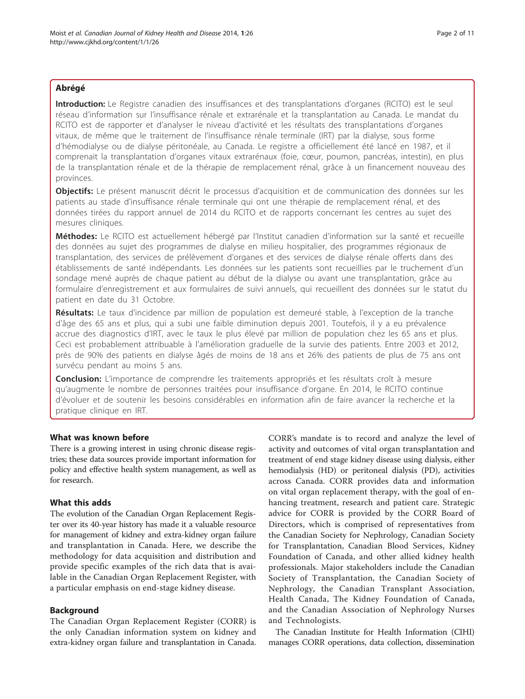# Abrégé

Introduction: Le Registre canadien des insuffisances et des transplantations d'organes (RCITO) est le seul réseau d'information sur l'insuffisance rénale et extrarénale et la transplantation au Canada. Le mandat du RCITO est de rapporter et d'analyser le niveau d'activité et les résultats des transplantations d'organes vitaux, de même que le traitement de l'insuffisance rénale terminale (IRT) par la dialyse, sous forme d'hémodialyse ou de dialyse péritonéale, au Canada. Le registre a officiellement été lancé en 1987, et il comprenait la transplantation d'organes vitaux extrarénaux (foie, cœur, poumon, pancréas, intestin), en plus de la transplantation rénale et de la thérapie de remplacement rénal, grâce à un financement nouveau des provinces.

Objectifs: Le présent manuscrit décrit le processus d'acquisition et de communication des données sur les patients au stade d'insuffisance rénale terminale qui ont une thérapie de remplacement rénal, et des données tirées du rapport annuel de 2014 du RCITO et de rapports concernant les centres au sujet des mesures cliniques.

Méthodes: Le RCITO est actuellement hébergé par l'Institut canadien d'information sur la santé et recueille des données au sujet des programmes de dialyse en milieu hospitalier, des programmes régionaux de transplantation, des services de prélèvement d'organes et des services de dialyse rénale offerts dans des établissements de santé indépendants. Les données sur les patients sont recueillies par le truchement d'un sondage mené auprès de chaque patient au début de la dialyse ou avant une transplantation, grâce au formulaire d'enregistrement et aux formulaires de suivi annuels, qui recueillent des données sur le statut du patient en date du 31 Octobre.

Résultats: Le taux d'incidence par million de population est demeuré stable, à l'exception de la tranche d'âge des 65 ans et plus, qui a subi une faible diminution depuis 2001. Toutefois, il y a eu prévalence accrue des diagnostics d'IRT, avec le taux le plus élevé par million de population chez les 65 ans et plus. Ceci est probablement attribuable à l'amélioration graduelle de la survie des patients. Entre 2003 et 2012, près de 90% des patients en dialyse âgés de moins de 18 ans et 26% des patients de plus de 75 ans ont survécu pendant au moins 5 ans.

Conclusion: L'importance de comprendre les traitements appropriés et les résultats croît à mesure qu'augmente le nombre de personnes traitées pour insuffisance d'organe. En 2014, le RCITO continue d'évoluer et de soutenir les besoins considérables en information afin de faire avancer la recherche et la pratique clinique en IRT.

# What was known before

There is a growing interest in using chronic disease registries; these data sources provide important information for policy and effective health system management, as well as for research.

### What this adds

The evolution of the Canadian Organ Replacement Register over its 40-year history has made it a valuable resource for management of kidney and extra-kidney organ failure and transplantation in Canada. Here, we describe the methodology for data acquisition and distribution and provide specific examples of the rich data that is available in the Canadian Organ Replacement Register, with a particular emphasis on end-stage kidney disease.

# Background

The Canadian Organ Replacement Register (CORR) is the only Canadian information system on kidney and extra-kidney organ failure and transplantation in Canada.

CORR's mandate is to record and analyze the level of activity and outcomes of vital organ transplantation and treatment of end stage kidney disease using dialysis, either hemodialysis (HD) or peritoneal dialysis (PD), activities across Canada. CORR provides data and information on vital organ replacement therapy, with the goal of enhancing treatment, research and patient care. Strategic advice for CORR is provided by the CORR Board of Directors, which is comprised of representatives from the Canadian Society for Nephrology, Canadian Society for Transplantation, Canadian Blood Services, Kidney Foundation of Canada, and other allied kidney health professionals. Major stakeholders include the Canadian Society of Transplantation, the Canadian Society of Nephrology, the Canadian Transplant Association, Health Canada, The Kidney Foundation of Canada, and the Canadian Association of Nephrology Nurses and Technologists.

The Canadian Institute for Health Information (CIHI) manages CORR operations, data collection, dissemination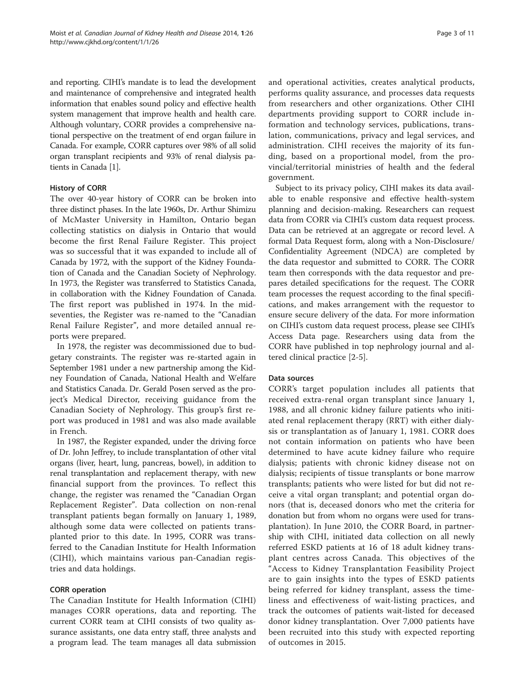Although voluntary, CORR provides a comprehensive national perspective on the treatment of end organ failure in Canada. For example, CORR captures over 98% of all solid organ transplant recipients and 93% of renal dialysis patients in Canada [\[1\]](#page-10-0).

## History of CORR

The over 40-year history of CORR can be broken into three distinct phases. In the late 1960s, Dr. Arthur Shimizu of McMaster University in Hamilton, Ontario began collecting statistics on dialysis in Ontario that would become the first Renal Failure Register. This project was so successful that it was expanded to include all of Canada by 1972, with the support of the Kidney Foundation of Canada and the Canadian Society of Nephrology. In 1973, the Register was transferred to Statistics Canada, in collaboration with the Kidney Foundation of Canada. The first report was published in 1974. In the midseventies, the Register was re-named to the "Canadian Renal Failure Register", and more detailed annual reports were prepared.

In 1978, the register was decommissioned due to budgetary constraints. The register was re-started again in September 1981 under a new partnership among the Kidney Foundation of Canada, National Health and Welfare and Statistics Canada. Dr. Gerald Posen served as the project's Medical Director, receiving guidance from the Canadian Society of Nephrology. This group's first report was produced in 1981 and was also made available in French.

In 1987, the Register expanded, under the driving force of Dr. John Jeffrey, to include transplantation of other vital organs (liver, heart, lung, pancreas, bowel), in addition to renal transplantation and replacement therapy, with new financial support from the provinces. To reflect this change, the register was renamed the "Canadian Organ Replacement Register". Data collection on non-renal transplant patients began formally on January 1, 1989, although some data were collected on patients transplanted prior to this date. In 1995, CORR was transferred to the Canadian Institute for Health Information (CIHI), which maintains various pan-Canadian registries and data holdings.

# CORR operation

The Canadian Institute for Health Information (CIHI) manages CORR operations, data and reporting. The current CORR team at CIHI consists of two quality assurance assistants, one data entry staff, three analysts and a program lead. The team manages all data submission and operational activities, creates analytical products, performs quality assurance, and processes data requests from researchers and other organizations. Other CIHI departments providing support to CORR include information and technology services, publications, translation, communications, privacy and legal services, and administration. CIHI receives the majority of its funding, based on a proportional model, from the provincial/territorial ministries of health and the federal

government. Subject to its privacy policy, CIHI makes its data available to enable responsive and effective health-system planning and decision-making. Researchers can request data from CORR via CIHI's custom data request process. Data can be retrieved at an aggregate or record level. A formal Data Request form, along with a Non-Disclosure/ Confidentiality Agreement (NDCA) are completed by the data requestor and submitted to CORR. The CORR team then corresponds with the data requestor and prepares detailed specifications for the request. The CORR team processes the request according to the final specifications, and makes arrangement with the requestor to ensure secure delivery of the data. For more information on CIHI's custom data request process, please see CIHI's Access Data page. Researchers using data from the CORR have published in top nephrology journal and altered clinical practice [[2-5](#page-10-0)].

# Data sources

CORR's target population includes all patients that received extra-renal organ transplant since January 1, 1988, and all chronic kidney failure patients who initiated renal replacement therapy (RRT) with either dialysis or transplantation as of January 1, 1981. CORR does not contain information on patients who have been determined to have acute kidney failure who require dialysis; patients with chronic kidney disease not on dialysis; recipients of tissue transplants or bone marrow transplants; patients who were listed for but did not receive a vital organ transplant; and potential organ donors (that is, deceased donors who met the criteria for donation but from whom no organs were used for transplantation). In June 2010, the CORR Board, in partnership with CIHI, initiated data collection on all newly referred ESKD patients at 16 of 18 adult kidney transplant centres across Canada. This objectives of the "Access to Kidney Transplantation Feasibility Project are to gain insights into the types of ESKD patients being referred for kidney transplant, assess the timeliness and effectiveness of wait-listing practices, and track the outcomes of patients wait-listed for deceased donor kidney transplantation. Over 7,000 patients have been recruited into this study with expected reporting of outcomes in 2015.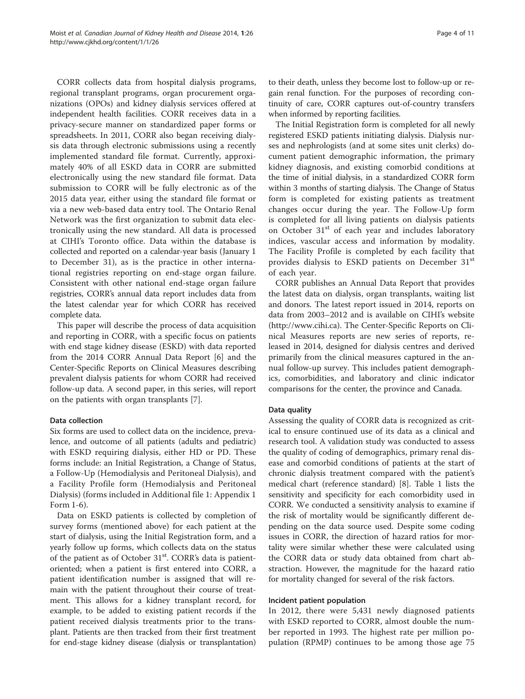CORR collects data from hospital dialysis programs, regional transplant programs, organ procurement organizations (OPOs) and kidney dialysis services offered at independent health facilities. CORR receives data in a privacy-secure manner on standardized paper forms or spreadsheets. In 2011, CORR also began receiving dialysis data through electronic submissions using a recently implemented standard file format. Currently, approximately 40% of all ESKD data in CORR are submitted electronically using the new standard file format. Data submission to CORR will be fully electronic as of the 2015 data year, either using the standard file format or via a new web-based data entry tool. The Ontario Renal Network was the first organization to submit data electronically using the new standard. All data is processed at CIHI's Toronto office. Data within the database is collected and reported on a calendar-year basis (January 1 to December 31), as is the practice in other international registries reporting on end-stage organ failure. Consistent with other national end-stage organ failure registries, CORR's annual data report includes data from the latest calendar year for which CORR has received complete data.

This paper will describe the process of data acquisition and reporting in CORR, with a specific focus on patients with end stage kidney disease (ESKD) with data reported from the 2014 CORR Annual Data Report [[6\]](#page-10-0) and the Center-Specific Reports on Clinical Measures describing prevalent dialysis patients for whom CORR had received follow-up data. A second paper, in this series, will report on the patients with organ transplants [\[7](#page-10-0)].

## Data collection

Six forms are used to collect data on the incidence, prevalence, and outcome of all patients (adults and pediatric) with ESKD requiring dialysis, either HD or PD. These forms include: an Initial Registration, a Change of Status, a Follow-Up (Hemodialysis and Peritoneal Dialysis), and a Facility Profile form (Hemodialysis and Peritoneal Dialysis) (forms included in Additional file [1](#page-9-0): Appendix 1 Form 1-6).

Data on ESKD patients is collected by completion of survey forms (mentioned above) for each patient at the start of dialysis, using the Initial Registration form, and a yearly follow up forms, which collects data on the status of the patient as of October  $31<sup>st</sup>$ . CORR's data is patientoriented; when a patient is first entered into CORR, a patient identification number is assigned that will remain with the patient throughout their course of treatment. This allows for a kidney transplant record, for example, to be added to existing patient records if the patient received dialysis treatments prior to the transplant. Patients are then tracked from their first treatment for end-stage kidney disease (dialysis or transplantation)

to their death, unless they become lost to follow-up or regain renal function. For the purposes of recording continuity of care, CORR captures out-of-country transfers when informed by reporting facilities.

The Initial Registration form is completed for all newly registered ESKD patients initiating dialysis. Dialysis nurses and nephrologists (and at some sites unit clerks) document patient demographic information, the primary kidney diagnosis, and existing comorbid conditions at the time of initial dialysis, in a standardized CORR form within 3 months of starting dialysis. The Change of Status form is completed for existing patients as treatment changes occur during the year. The Follow-Up form is completed for all living patients on dialysis patients on October 31<sup>st</sup> of each year and includes laboratory indices, vascular access and information by modality. The Facility Profile is completed by each facility that provides dialysis to ESKD patients on December 31<sup>st</sup> of each year.

CORR publishes an Annual Data Report that provides the latest data on dialysis, organ transplants, waiting list and donors. The latest report issued in 2014, reports on data from 2003–2012 and is available on CIHI's website ([http://www.cihi.ca\)](http://www.cihi.ca). The Center-Specific Reports on Clinical Measures reports are new series of reports, released in 2014, designed for dialysis centres and derived primarily from the clinical measures captured in the annual follow-up survey. This includes patient demographics, comorbidities, and laboratory and clinic indicator comparisons for the center, the province and Canada.

### Data quality

Assessing the quality of CORR data is recognized as critical to ensure continued use of its data as a clinical and research tool. A validation study was conducted to assess the quality of coding of demographics, primary renal disease and comorbid conditions of patients at the start of chronic dialysis treatment compared with the patient's medical chart (reference standard) [\[8](#page-10-0)]. Table [1](#page-4-0) lists the sensitivity and specificity for each comorbidity used in CORR. We conducted a sensitivity analysis to examine if the risk of mortality would be significantly different depending on the data source used. Despite some coding issues in CORR, the direction of hazard ratios for mortality were similar whether these were calculated using the CORR data or study data obtained from chart abstraction. However, the magnitude for the hazard ratio for mortality changed for several of the risk factors.

### Incident patient population

In 2012, there were 5,431 newly diagnosed patients with ESKD reported to CORR, almost double the number reported in 1993. The highest rate per million population (RPMP) continues to be among those age 75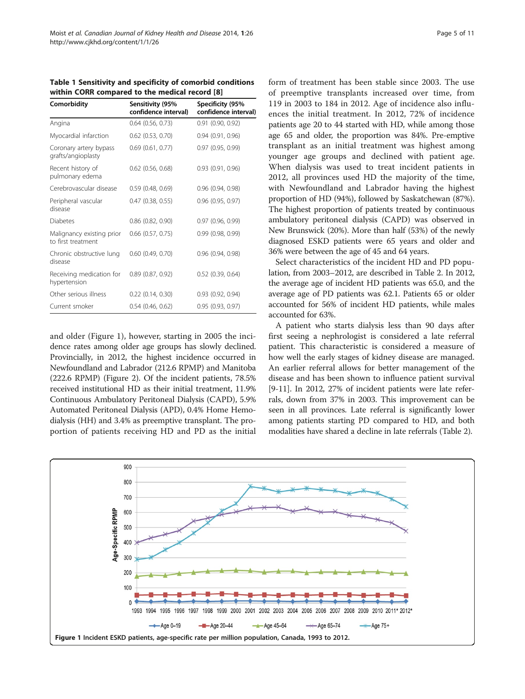<span id="page-4-0"></span>Table 1 Sensitivity and specificity of comorbid conditions within CORR compared to the medical record [\[8](#page-10-0)]

| Comorbidity                                     | Sensitivity (95%<br>confidence interval) | Specificity (95%<br>confidence interval) |
|-------------------------------------------------|------------------------------------------|------------------------------------------|
| Angina                                          | $0.64$ (0.56, 0.73)                      | $0.91$ $(0.90, 0.92)$                    |
| Myocardial infarction                           | $0.62$ $(0.53, 0.70)$                    | 0.94(0.91, 0.96)                         |
| Coronary artery bypass<br>grafts/angioplasty    | 0.69(0.61, 0.77)                         | 0.97(0.95, 0.99)                         |
| Recent history of<br>pulmonary edema            | $0.62$ (0.56, 0.68)                      | 0.93(0.91, 0.96)                         |
| Cerebrovascular disease                         | 0.59(0.48, 0.69)                         | 0.96(0.94, 0.98)                         |
| Peripheral vascular<br>disease                  | 0.47(0.38, 0.55)                         | $0.96$ $(0.95, 0.97)$                    |
| Diabetes                                        | 0.86(0.82, 0.90)                         | 0.97(0.96, 0.99)                         |
| Malignancy existing prior<br>to first treatment | $0.66$ $(0.57, 0.75)$                    | 0.99(0.98, 0.99)                         |
| Chronic obstructive lung<br>disease             | $0.60$ $(0.49, 0.70)$                    | 0.96(0.94, 0.98)                         |
| Receiving medication for<br>hypertension        | $0.89$ $(0.87, 0.92)$                    | $0.52$ (0.39, 0.64)                      |
| Other serious illness                           | $0.22$ $(0.14, 0.30)$                    | 0.93(0.92, 0.94)                         |
| Current smoker                                  | 0.54(0.46, 0.62)                         | 0.95(0.93, 0.97)                         |

and older (Figure 1), however, starting in 2005 the incidence rates among older age groups has slowly declined. Provincially, in 2012, the highest incidence occurred in Newfoundland and Labrador (212.6 RPMP) and Manitoba (222.6 RPMP) (Figure [2](#page-5-0)). Of the incident patients, 78.5% received institutional HD as their initial treatment, 11.9% Continuous Ambulatory Peritoneal Dialysis (CAPD), 5.9% Automated Peritoneal Dialysis (APD), 0.4% Home Hemodialysis (HH) and 3.4% as preemptive transplant. The proportion of patients receiving HD and PD as the initial form of treatment has been stable since 2003. The use of preemptive transplants increased over time, from 119 in 2003 to 184 in 2012. Age of incidence also influences the initial treatment. In 2012, 72% of incidence patients age 20 to 44 started with HD, while among those age 65 and older, the proportion was 84%. Pre-emptive transplant as an initial treatment was highest among younger age groups and declined with patient age. When dialysis was used to treat incident patients in 2012, all provinces used HD the majority of the time, with Newfoundland and Labrador having the highest proportion of HD (94%), followed by Saskatchewan (87%). The highest proportion of patients treated by continuous ambulatory peritoneal dialysis (CAPD) was observed in New Brunswick (20%). More than half (53%) of the newly

36% were between the age of 45 and 64 years. Select characteristics of the incident HD and PD population, from 2003–2012, are described in Table [2.](#page-5-0) In 2012, the average age of incident HD patients was 65.0, and the average age of PD patients was 62.1. Patients 65 or older accounted for 56% of incident HD patients, while males accounted for 63%.

diagnosed ESKD patients were 65 years and older and

A patient who starts dialysis less than 90 days after first seeing a nephrologist is considered a late referral patient. This characteristic is considered a measure of how well the early stages of kidney disease are managed. An earlier referral allows for better management of the disease and has been shown to influence patient survival [[9-11\]](#page-10-0). In 2012, 27% of incident patients were late referrals, down from 37% in 2003. This improvement can be seen in all provinces. Late referral is significantly lower among patients starting PD compared to HD, and both modalities have shared a decline in late referrals (Table [2](#page-5-0)).

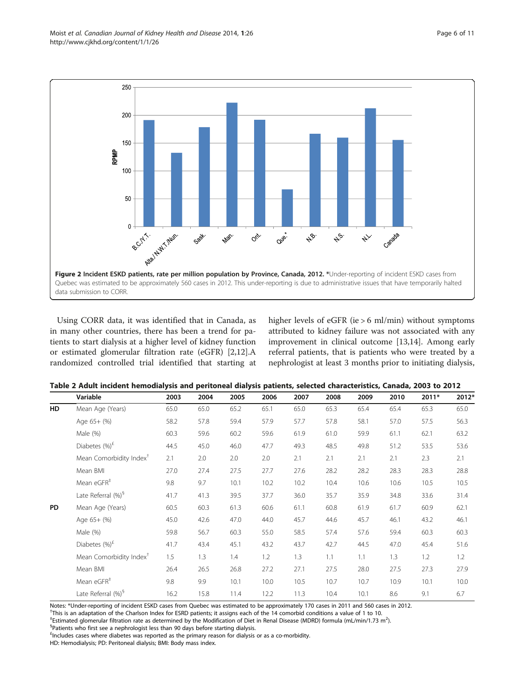<span id="page-5-0"></span>

Using CORR data, it was identified that in Canada, as in many other countries, there has been a trend for patients to start dialysis at a higher level of kidney function or estimated glomerular filtration rate (eGFR) [\[2,12](#page-10-0)].A randomized controlled trial identified that starting at higher levels of eGFR (ie > 6 ml/min) without symptoms attributed to kidney failure was not associated with any improvement in clinical outcome [[13,14\]](#page-10-0). Among early referral patients, that is patients who were treated by a nephrologist at least 3 months prior to initiating dialysis,

| Table 2 Adult incident hemodialysis and peritoneal dialysis patients, selected characteristics, Canada, 2003 to 2012 |  |  |
|----------------------------------------------------------------------------------------------------------------------|--|--|
|                                                                                                                      |  |  |

|           | Variable                            | 2003 | 2004 | 2005 | 2006 | 2007 | 2008 | 2009 | 2010 | $2011*$ | 2012* |
|-----------|-------------------------------------|------|------|------|------|------|------|------|------|---------|-------|
| HD        | Mean Age (Years)                    | 65.0 | 65.0 | 65.2 | 65.1 | 65.0 | 65.3 | 65.4 | 65.4 | 65.3    | 65.0  |
|           | Age $65+$ $(%)$                     | 58.2 | 57.8 | 59.4 | 57.9 | 57.7 | 57.8 | 58.1 | 57.0 | 57.5    | 56.3  |
|           | Male $(%)$                          | 60.3 | 59.6 | 60.2 | 59.6 | 61.9 | 61.0 | 59.9 | 61.1 | 62.1    | 63.2  |
|           | Diabetes $(\%)^{\text{f}}$          | 44.5 | 45.0 | 46.0 | 47.7 | 49.3 | 48.5 | 49.8 | 51.2 | 53.5    | 53.6  |
|           | Mean Comorbidity Index <sup>†</sup> | 2.1  | 2.0  | 2.0  | 2.0  | 2.1  | 2.1  | 2.1  | 2.1  | 2.3     | 2.1   |
|           | Mean BMI                            | 27.0 | 27.4 | 27.5 | 27.7 | 27.6 | 28.2 | 28.2 | 28.3 | 28.3    | 28.8  |
|           | Mean eGFR <sup>#</sup>              | 9.8  | 9.7  | 10.1 | 10.2 | 10.2 | 10.4 | 10.6 | 10.6 | 10.5    | 10.5  |
|           | Late Referral (%) <sup>§</sup>      | 41.7 | 41.3 | 39.5 | 37.7 | 36.0 | 35.7 | 35.9 | 34.8 | 33.6    | 31.4  |
| <b>PD</b> | Mean Age (Years)                    | 60.5 | 60.3 | 61.3 | 60.6 | 61.1 | 60.8 | 61.9 | 61.7 | 60.9    | 62.1  |
|           | Age $65+$ $(%)$                     | 45.0 | 42.6 | 47.0 | 44.0 | 45.7 | 44.6 | 45.7 | 46.1 | 43.2    | 46.1  |
|           | Male (%)                            | 59.8 | 56.7 | 60.3 | 55.0 | 58.5 | 57.4 | 57.6 | 59.4 | 60.3    | 60.3  |
|           | Diabetes $(\%)^{\text{f}}$          | 41.7 | 43.4 | 45.1 | 43.2 | 43.7 | 42.7 | 44.5 | 47.0 | 45.4    | 51.6  |
|           | Mean Comorbidity Index <sup>†</sup> | 1.5  | 1.3  | 1.4  | 1.2  | 1.3  | 1.1  | 1.1  | 1.3  | 1.2     | 1.2   |
|           | Mean BMI                            | 26.4 | 26.5 | 26.8 | 27.2 | 27.1 | 27.5 | 28.0 | 27.5 | 27.3    | 27.9  |
|           | Mean eGFR <sup>#</sup>              | 9.8  | 9.9  | 10.1 | 10.0 | 10.5 | 10.7 | 10.7 | 10.9 | 10.1    | 10.0  |
|           | Late Referral (%) <sup>§</sup>      | 16.2 | 15.8 | 11.4 | 12.2 | 11.3 | 10.4 | 10.1 | 8.6  | 9.1     | 6.7   |

Notes: \*Under-reporting of incident ESKD cases from Quebec was estimated to be approximately 170 cases in 2011 and 560 cases in 2012.

† This is an adaptation of the Charlson Index for ESRD patients; it assigns each of the 14 comorbid conditions a value of 1 to 10.

<sup>‡</sup>Estimated glomerular filtration rate as determined by the Modification of Diet in Renal Disease (MDRD) formula (mL/min/1.73 m<sup>2</sup>).<br><sup>§</sup>Patients who first see a nephrologist less than 90 days before starting dialysis.

<sup>§</sup>Patients who first see a nephrologist less than 90 days before starting dialysis.

£ Includes cases where diabetes was reported as the primary reason for dialysis or as a co-morbidity.

HD: Hemodialysis; PD: Peritoneal dialysis; BMI: Body mass index.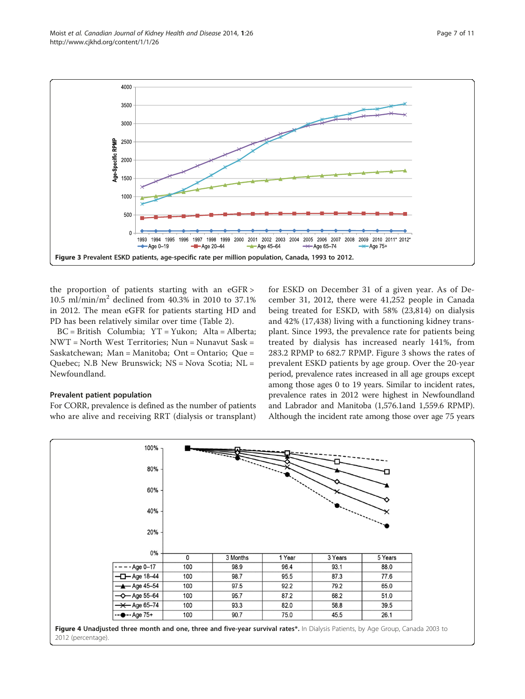the proportion of patients starting with an eGFR > 10.5 ml/min/m<sup>2</sup> declined from 40.3% in 2010 to 37.1% in 2012. The mean eGFR for patients starting HD and PD has been relatively similar over time (Table [2](#page-5-0)).

BC = British Columbia; YT = Yukon; Alta = Alberta; NWT = North West Territories; Nun = Nunavut Sask = Saskatchewan; Man = Manitoba; Ont = Ontario; Que = Quebec; N.B New Brunswick; NS = Nova Scotia; NL = Newfoundland.

#### Prevalent patient population

For CORR, prevalence is defined as the number of patients who are alive and receiving RRT (dialysis or transplant) for ESKD on December 31 of a given year. As of December 31, 2012, there were 41,252 people in Canada being treated for ESKD, with 58% (23,814) on dialysis and 42% (17,438) living with a functioning kidney transplant. Since 1993, the prevalence rate for patients being treated by dialysis has increased nearly 141%, from 283.2 RPMP to 682.7 RPMP. Figure 3 shows the rates of prevalent ESKD patients by age group. Over the 20-year period, prevalence rates increased in all age groups except among those ages 0 to 19 years. Similar to incident rates, prevalence rates in 2012 were highest in Newfoundland and Labrador and Manitoba (1,576.1and 1,559.6 RPMP). Although the incident rate among those over age 75 years

<span id="page-6-0"></span>



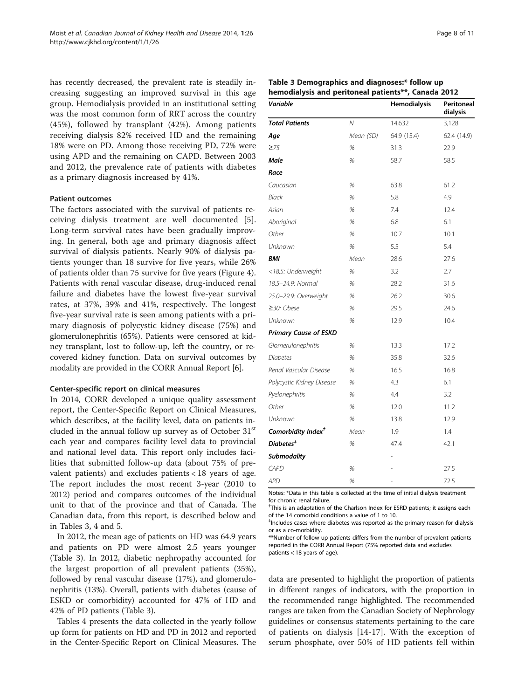has recently decreased, the prevalent rate is steadily increasing suggesting an improved survival in this age group. Hemodialysis provided in an institutional setting was the most common form of RRT across the country (45%), followed by transplant (42%). Among patients receiving dialysis 82% received HD and the remaining 18% were on PD. Among those receiving PD, 72% were using APD and the remaining on CAPD. Between 2003 and 2012, the prevalence rate of patients with diabetes as a primary diagnosis increased by 41%.

## Patient outcomes

The factors associated with the survival of patients receiving dialysis treatment are well documented [\[5](#page-10-0)]. Long-term survival rates have been gradually improving. In general, both age and primary diagnosis affect survival of dialysis patients. Nearly 90% of dialysis patients younger than 18 survive for five years, while 26% of patients older than 75 survive for five years (Figure [4](#page-6-0)). Patients with renal vascular disease, drug-induced renal failure and diabetes have the lowest five-year survival rates, at 37%, 39% and 41%, respectively. The longest five-year survival rate is seen among patients with a primary diagnosis of polycystic kidney disease (75%) and glomerulonephritis (65%). Patients were censored at kidney transplant, lost to follow-up, left the country, or recovered kidney function. Data on survival outcomes by modality are provided in the CORR Annual Report [[6](#page-10-0)].

#### Center-specific report on clinical measures

In 2014, CORR developed a unique quality assessment report, the Center-Specific Report on Clinical Measures, which describes, at the facility level, data on patients included in the annual follow up survey as of October  $31<sup>st</sup>$ each year and compares facility level data to provincial and national level data. This report only includes facilities that submitted follow-up data (about 75% of prevalent patients) and excludes patients < 18 years of age. The report includes the most recent 3-year (2010 to 2012) period and compares outcomes of the individual unit to that of the province and that of Canada. The Canadian data, from this report, is described below and in Tables 3, [4](#page-8-0) and [5](#page-8-0).

In 2012, the mean age of patients on HD was 64.9 years and patients on PD were almost 2.5 years younger (Table 3). In 2012, diabetic nephropathy accounted for the largest proportion of all prevalent patients (35%), followed by renal vascular disease (17%), and glomerulonephritis (13%). Overall, patients with diabetes (cause of ESKD or comorbidity) accounted for 47% of HD and 42% of PD patients (Table 3).

Tables [4](#page-8-0) presents the data collected in the yearly follow up form for patients on HD and PD in 2012 and reported in the Center-Specific Report on Clinical Measures. The

| Variable                     |           | <b>Hemodialysis</b> | Peritoneal<br>dialysis |
|------------------------------|-----------|---------------------|------------------------|
| <b>Total Patients</b>        | Ν         | 14,632              | 3,128                  |
| Aqe                          | Mean (SD) | 64.9 (15.4)         | 62.4 (14.9)            |
| $\geq$ 75                    | %         | 31.3                | 22.9                   |
| <b>Male</b>                  | %         | 58.7                | 58.5                   |
| Race                         |           |                     |                        |
| Caucasian                    | %         | 63.8                | 61.2                   |
| Black                        | %         | 5.8                 | 4.9                    |
| Asian                        | %         | 7.4                 | 12.4                   |
| Aboriginal                   | %         | 6.8                 | 6.1                    |
| Other                        | %         | 10.7                | 10.1                   |
| Unknown                      | %         | 5.5                 | 5.4                    |
| <b>BMI</b>                   | Mean      | 28.6                | 27.6                   |
| <18.5: Underweight           | %         | 3.2                 | 2.7                    |
| 18.5-24.9: Normal            | %         | 28.2                | 31.6                   |
| 25.0-29.9: Overweight        | %         | 26.2                | 30.6                   |
| $\geq$ 30: Obese             | %         | 29.5                | 24.6                   |
| Unknown                      | %         | 12.9                | 10.4                   |
| <b>Primary Cause of ESKD</b> |           |                     |                        |
| Glomerulonephritis           | %         | 13.3                | 17.2                   |
| <b>Diabetes</b>              | %         | 35.8                | 32.6                   |
| Renal Vascular Disease       | %         | 16.5                | 16.8                   |
| Polycystic Kidney Disease    | %         | 4.3                 | 6.1                    |
| Pyelonephritis               | %         | 4.4                 | 3.2                    |
| Other                        | %         | 12.0                | 11.2                   |
| Unknown                      | %         | 13.8                | 12.9                   |
| Comorbidity Index $t$        | Mean      | 1.9                 | 1.4                    |
| $Diabetes^{\ddagger}$        | %         | 47.4                | 42.1                   |
| Submodality                  |           |                     |                        |
| CAPD                         | %         |                     | 27.5                   |
| <b>APD</b>                   | %         |                     | 72.5                   |

Notes: \*Data in this table is collected at the time of initial dialysis treatment for chronic renal failure.

† This is an adaptation of the Charlson Index for ESRD patients; it assigns each of the 14 comorbid conditions a value of 1 to 10.

‡ Includes cases where diabetes was reported as the primary reason for dialysis or as a co-morbidity.

\*\*Number of follow up patients differs from the number of prevalent patients reported in the CORR Annual Report (75% reported data and excludes patients < 18 years of age).

data are presented to highlight the proportion of patients in different ranges of indicators, with the proportion in the recommended range highlighted. The recommended ranges are taken from the Canadian Society of Nephrology guidelines or consensus statements pertaining to the care of patients on dialysis [\[14](#page-10-0)-[17\]](#page-10-0). With the exception of serum phosphate, over 50% of HD patients fell within

## Table 3 Demographics and diagnoses:\* follow up hemodialysis and peritoneal patients\*\*, Canada 2012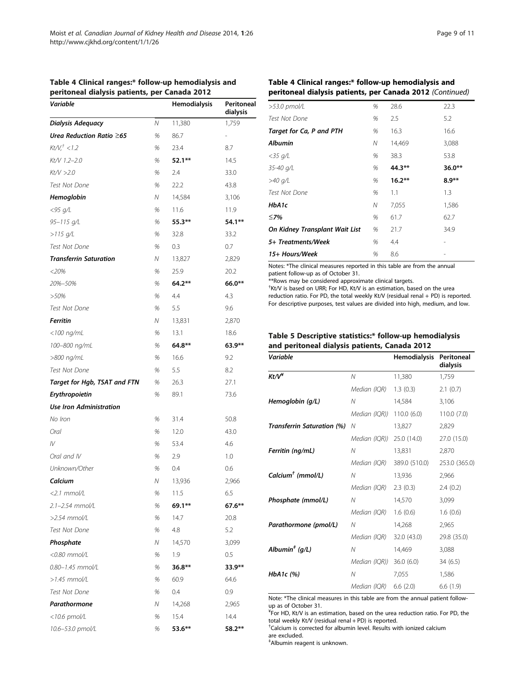## <span id="page-8-0"></span>Table 4 Clinical ranges:\* follow-up hemodialysis and peritoneal dialysis patients, per Canada 2012

| Variable                       |   | Hemodialysis | Peritoneal<br>dialysis   |
|--------------------------------|---|--------------|--------------------------|
| Dialysis Adequacy              | Ν | 11,380       | 1,759                    |
| Urea Reduction Ratio $\geq$ 65 | % | 86.7         | $\overline{\phantom{0}}$ |
| $Kt$ / $V_t^{\dagger}$ < 1.2   | % | 23.4         | 8.7                      |
| Kt/V 1.2-2.0                   | % | $52.1***$    | 14.5                     |
| Kt/V >2.0                      | % | 2.4          | 33.0                     |
| Test Not Done                  | % | 22.2         | 43.8                     |
| Hemoglobin                     | Ν | 14,584       | 3,106                    |
| $<$ 95 $q/L$                   | % | 11.6         | 11.9                     |
| 95-115 g/L                     | % | $55.3**$     | 54.1**                   |
| $>115$ g/L                     | % | 32.8         | 33.2                     |
| Test Not Done                  | % | 0.3          | 0.7                      |
| <b>Transferrin Saturation</b>  | Ν | 13,827       | 2,829                    |
| $<20\%$                        | % | 25.9         | 20.2                     |
| 20%–50%                        | % | $64.2***$    | $66.0**$                 |
| >50%                           | % | 4.4          | 4.3                      |
| Test Not Done                  | % | 5.5          | 9.6                      |
| Ferritin                       | Ν | 13,831       | 2,870                    |
| $<$ 100 ng/mL                  | % | 13.1         | 18.6                     |
| 100-800 ng/mL                  | % | $64.8***$    | $63.9**$                 |
| >800 ng/mL                     | % | 16.6         | 9.2                      |
| Test Not Done                  | % | 5.5          | 8.2                      |
| Target for Hgb, TSAT and FTN   | % | 26.3         | 27.1                     |
| Erythropoietin                 | % | 89.1         | 73.6                     |
| <b>Use Iron Administration</b> |   |              |                          |
| No Iron                        | % | 31.4         | 50.8                     |
| Oral                           | % | 12.0         | 43.0                     |
| IV                             | % | 53.4         | 4.6                      |
| Oral and IV                    | % | 2.9          | 1.0                      |
| Unknown/Other                  | % | 0.4          | 0.6                      |
| Calcium                        | Ν | 13,936       | 2,966                    |
| $<$ 2.1 mmol/L                 | % | 11.5         | 6.5                      |
| 2.1-2.54 mmol/L                | % | 69.1**       | $67.6***$                |
| $>2.54$ mmol/L                 | % | 14.7         | 20.8                     |
| Test Not Done                  | % | 4.8          | 5.2                      |
| Phosphate                      | Ν | 14,570       | 3,099                    |
| <0.80 mmol/L                   | % | 1.9          | 0.5                      |
| 0.80-1.45 mmol/L               | % | $36.8**$     | $33.9**$                 |
| $>1.45$ mmol/L                 | % | 60.9         | 64.6                     |
| Test Not Done                  | % | 0.4          | 0.9                      |
| Parathormone                   | Ν | 14,268       | 2,965                    |
| $<$ 10.6 pmol/L                | % | 15.4         | 14.4                     |
| 10.6-53.0 pmol/L               | % | $53.6***$    | 58.2**                   |

# Table 4 Clinical ranges:\* follow-up hemodialysis and peritoneal dialysis patients, per Canada 2012 (Continued)

| $>53.0$ pmol/L                 | % | 28.6      | 22.3     |
|--------------------------------|---|-----------|----------|
| Test Not Done                  | % | 2.5       | 5.2      |
| Target for Ca, P and PTH       | % | 16.3      | 16.6     |
| <b>Albumin</b>                 | Ν | 14,469    | 3,088    |
| $<$ 35 g/L                     | % | 38.3      | 53.8     |
| 35-40 g/L                      | % | 44.3**    | $36.0**$ |
| $>40$ g/L                      | % | $16.2***$ | $8.9**$  |
| Test Not Done                  | % | 1.1       | 1.3      |
| НЬА1с                          | Ν | 7,055     | 1,586    |
| $\leq 7\%$                     | % | 61.7      | 62.7     |
| On Kidney Transplant Wait List | % | 21.7      | 34.9     |
| 5+ Treatments/Week             | % | 4.4       |          |
| 15+ Hours/Week                 | % | 8.6       |          |

Notes: \*The clinical measures reported in this table are from the annual patient follow-up as of October 31.

\*\*Rows may be considered approximate clinical targets.

† Kt/V is based on URR; For HD, Kt/V is an estimation, based on the urea reduction ratio. For PD, the total weekly Kt/V (residual renal + PD) is reported. For descriptive purposes, test values are divided into high, medium, and low.

# Table 5 Descriptive statistics:\* follow-up hemodialysis and peritoneal dialysis patients, Canada 2012

| Variable                          |               | Hemodialysis  | Peritoneal<br>dialysis |
|-----------------------------------|---------------|---------------|------------------------|
| $Kt/V^4$                          | $\mathcal N$  | 11,380        | 1,759                  |
|                                   | Median (IQR)  | 1.3(0.3)      | 2.1(0.7)               |
| Hemoglobin (g/L)                  | N             | 14,584        | 3,106                  |
|                                   | Median (IQR)) | 110.0(6.0)    | 110.0(7.0)             |
| <b>Transferrin Saturation (%)</b> | N             | 13,827        | 2,829                  |
|                                   | Median (IQR)) | 25.0(14.0)    | 27.0 (15.0)            |
| Ferritin (ng/mL)                  | N             | 13,831        | 2,870                  |
|                                   | Median (IQR)  | 389.0 (510.0) | 253.0 (365.0)          |
| Calcium <sup>†</sup> (mmol/L)     | $\mathcal N$  | 13,936        | 2,966                  |
|                                   | Median (IQR)  | 2.3(0.3)      | 2.4(0.2)               |
| Phosphate (mmol/L)                | $\mathcal N$  | 14,570        | 3,099                  |
|                                   | Median (IQR)  | 1.6(0.6)      | 1.6(0.6)               |
| Parathormone (pmol/L)             | N             | 14,268        | 2,965                  |
|                                   | Median (IQR)  | 32.0 (43.0)   | 29.8 (35.0)            |
| Albumin <sup>#</sup> (g/L)        | $\mathcal N$  | 14,469        | 3,088                  |
|                                   | Median (IQR)) | 36.0(6.0)     | 34(6.5)                |
| HbA1c (%)                         | $\mathcal N$  | 7,055         | 1,586                  |
|                                   | Median (IQR)  | 6.6(2.0)      | 6.6(1.9)               |

Note: \*The clinical measures in this table are from the annual patient followup as of October 31.

¥ For HD, Kt/V is an estimation, based on the urea reduction ratio. For PD, the total weekly Kt/V (residual renal + PD) is reported.

† Calcium is corrected for albumin level. Results with ionized calcium are excluded.

‡ Albumin reagent is unknown.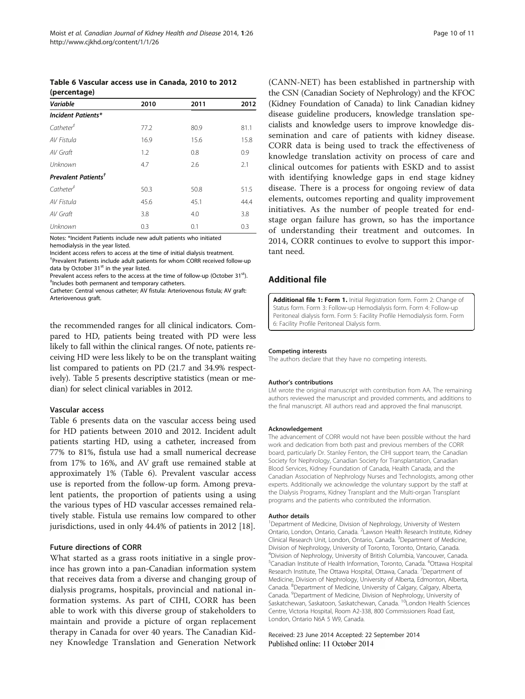<span id="page-9-0"></span>Table 6 Vascular access use in Canada, 2010 to 2012 (percentage)

| Variable                             | 2010                                                               | 2011 | 2012 |
|--------------------------------------|--------------------------------------------------------------------|------|------|
| <b>Incident Patients*</b>            |                                                                    |      |      |
| $Cather^{\ddagger}$                  | 77.2                                                               | 80.9 | 81.1 |
| AV Fistula                           | 16.9                                                               | 15.6 | 15.8 |
| AV Graft                             | 1.2                                                                | 0.8  | 0.9  |
| Unknown                              | 4.7                                                                | 2.6  | 2.1  |
| Prevalent Patients <sup>†</sup>      |                                                                    |      |      |
| $Catheter$ <sup><math>#</math></sup> | 50.3                                                               | 50.8 | 51.5 |
| AV Fistula                           | 45.6                                                               | 45.1 | 44.4 |
| AV Graft                             | 3.8                                                                | 4.0  | 3.8  |
| Unknown                              | 0.3                                                                | 0.1  | 0.3  |
|                                      | Notes: *Incident Patients include new adult patients who initiated |      |      |

hemodialysis in the year listed.

Incident access refers to access at the time of initial dialysis treatment. † Prevalent Patients include adult patients for whom CORR received follow-up

data by October 31<sup>st</sup> in the year listed. Prevalent access refers to the access at the time of follow-up (October 31<sup>st</sup>). <sup>‡</sup>Includes both permanent and temporary catheters.

Catheter: Central venous catheter; AV fistula: Arteriovenous fistula; AV graft: Arteriovenous graft.

the recommended ranges for all clinical indicators. Compared to HD, patients being treated with PD were less likely to fall within the clinical ranges. Of note, patients receiving HD were less likely to be on the transplant waiting list compared to patients on PD (21.7 and 34.9% respectively). Table [5](#page-8-0) presents descriptive statistics (mean or median) for select clinical variables in 2012.

### Vascular access

Table 6 presents data on the vascular access being used for HD patients between 2010 and 2012. Incident adult patients starting HD, using a catheter, increased from 77% to 81%, fistula use had a small numerical decrease from 17% to 16%, and AV graft use remained stable at approximately 1% (Table 6). Prevalent vascular access use is reported from the follow-up form. Among prevalent patients, the proportion of patients using a using the various types of HD vascular accesses remained relatively stable. Fistula use remains low compared to other jurisdictions, used in only 44.4% of patients in 2012 [\[18](#page-10-0)].

## Future directions of CORR

What started as a grass roots initiative in a single province has grown into a pan-Canadian information system that receives data from a diverse and changing group of dialysis programs, hospitals, provincial and national information systems. As part of CIHI, CORR has been able to work with this diverse group of stakeholders to maintain and provide a picture of organ replacement therapy in Canada for over 40 years. The Canadian Kidney Knowledge Translation and Generation Network

(CANN-NET) has been established in partnership with the CSN (Canadian Society of Nephrology) and the KFOC (Kidney Foundation of Canada) to link Canadian kidney disease guideline producers, knowledge translation specialists and knowledge users to improve knowledge dissemination and care of patients with kidney disease. CORR data is being used to track the effectiveness of knowledge translation activity on process of care and clinical outcomes for patients with ESKD and to assist with identifying knowledge gaps in end stage kidney disease. There is a process for ongoing review of data elements, outcomes reporting and quality improvement initiatives. As the number of people treated for endstage organ failure has grown, so has the importance of understanding their treatment and outcomes. In 2014, CORR continues to evolve to support this important need.

# Additional file

[Additional file 1: Form 1.](http://www.cjkhd.org/content/supplementary/s40697-014-0026-5-s1.pdf) Initial Registration form. Form 2: Change of Status form. Form 3: Follow-up Hemodialysis form. Form 4: Follow-up Peritoneal dialysis form. Form 5: Facility Profile Hemodialysis form. Form 6: Facility Profile Peritoneal Dialysis form.

#### Competing interests

The authors declare that they have no competing interests.

#### Author's contributions

LM wrote the original manuscript with contribution from AA. The remaining authors reviewed the manuscript and provided comments, and additions to the final manuscript. All authors read and approved the final manuscript.

#### Acknowledgement

The advancement of CORR would not have been possible without the hard work and dedication from both past and previous members of the CORR board, particularly Dr. Stanley Fenton, the CIHI support team, the Canadian Society for Nephrology, Canadian Society for Transplantation, Canadian Blood Services, Kidney Foundation of Canada, Health Canada, and the Canadian Association of Nephrology Nurses and Technologists, among other experts. Additionally we acknowledge the voluntary support by the staff at the Dialysis Programs, Kidney Transplant and the Multi-organ Transplant programs and the patients who contributed the information.

#### Author details

<sup>1</sup>Department of Medicine, Division of Nephrology, University of Western Ontario, London, Ontario, Canada. <sup>2</sup> Lawson Health Research Institute, Kidney Clinical Research Unit, London, Ontario, Canada. <sup>3</sup>Department of Medicine Division of Nephrology, University of Toronto, Toronto, Ontario, Canada. 4 Division of Nephrology, University of British Columbia, Vancouver, Canada. <sup>5</sup>Canadian Institute of Health Information, Toronto, Canada. <sup>6</sup>Ottawa Hospital Research Institute, The Ottawa Hospital, Ottawa, Canada. <sup>7</sup>Department of Medicine, Division of Nephrology, University of Alberta, Edmonton, Alberta, Canada. <sup>8</sup>Department of Medicine, University of Calgary, Calgary, Alberta, Canada. <sup>9</sup> Department of Medicine, Division of Nephrology, University of Saskatchewan, Saskatoon, Saskatchewan, Canada. 10London Health Sciences Centre, Victoria Hospital, Room A2-338, 800 Commissioners Road East, London, Ontario N6A 5 W9, Canada.

#### Received: 23 June 2014 Accepted: 22 September 2014 Published online: 11 October 2014